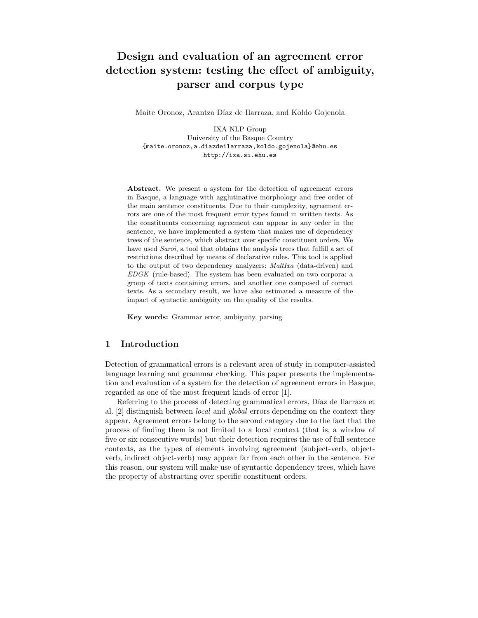# Design and evaluation of an agreement error detection system: testing the effect of ambiguity, parser and corpus type

Maite Oronoz, Arantza Díaz de Ilarraza, and Koldo Gojenola

IXA NLP Group University of the Basque Country {maite.oronoz,a.diazdeilarraza,koldo.gojenola}@ehu.es http://ixa.si.ehu.es

Abstract. We present a system for the detection of agreement errors in Basque, a language with agglutinative morphology and free order of the main sentence constituents. Due to their complexity, agreement errors are one of the most frequent error types found in written texts. As the constituents concerning agreement can appear in any order in the sentence, we have implemented a system that makes use of dependency trees of the sentence, which abstract over specific constituent orders. We have used *Saroi*, a tool that obtains the analysis trees that fulfill a set of restrictions described by means of declarative rules. This tool is applied to the output of two dependency analyzers: MaltIxa (data-driven) and EDGK (rule-based). The system has been evaluated on two corpora: a group of texts containing errors, and another one composed of correct texts. As a secondary result, we have also estimated a measure of the impact of syntactic ambiguity on the quality of the results.

Key words: Grammar error, ambiguity, parsing

# 1 Introduction

Detection of grammatical errors is a relevant area of study in computer-assisted language learning and grammar checking. This paper presents the implementation and evaluation of a system for the detection of agreement errors in Basque, regarded as one of the most frequent kinds of error [1].

Referring to the process of detecting grammatical errors, Díaz de Ilarraza et al. [2] distinguish between local and global errors depending on the context they appear. Agreement errors belong to the second category due to the fact that the process of finding them is not limited to a local context (that is, a window of five or six consecutive words) but their detection requires the use of full sentence contexts, as the types of elements involving agreement (subject-verb, objectverb, indirect object-verb) may appear far from each other in the sentence. For this reason, our system will make use of syntactic dependency trees, which have the property of abstracting over specific constituent orders.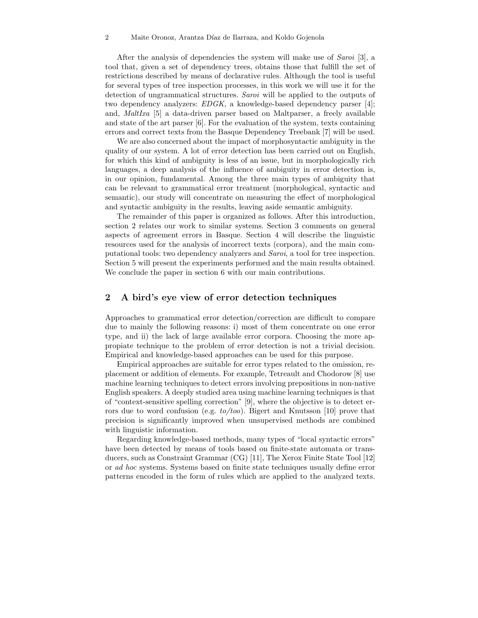#### 2 Maite Oronoz, Arantza Díaz de Ilarraza, and Koldo Gojenola

After the analysis of dependencies the system will make use of *Saroi* [3], a tool that, given a set of dependency trees, obtains those that fulfill the set of restrictions described by means of declarative rules. Although the tool is useful for several types of tree inspection processes, in this work we will use it for the detection of ungrammatical structures. Saroi will be applied to the outputs of two dependency analyzers: EDGK, a knowledge-based dependency parser [4]; and, MaltIxa [5] a data-driven parser based on Maltparser, a freely available and state of the art parser [6]. For the evaluation of the system, texts containing errors and correct texts from the Basque Dependency Treebank [7] will be used.

We are also concerned about the impact of morphosyntactic ambiguity in the quality of our system. A lot of error detection has been carried out on English, for which this kind of ambiguity is less of an issue, but in morphologically rich languages, a deep analysis of the influence of ambiguity in error detection is, in our opinion, fundamental. Among the three main types of ambiguity that can be relevant to grammatical error treatment (morphological, syntactic and semantic), our study will concentrate on measuring the effect of morphological and syntactic ambiguity in the results, leaving aside semantic ambiguity.

The remainder of this paper is organized as follows. After this introduction, section 2 relates our work to similar systems. Section 3 comments on general aspects of agreement errors in Basque. Section 4 will describe the linguistic resources used for the analysis of incorrect texts (corpora), and the main computational tools: two dependency analyzers and Saroi, a tool for tree inspection. Section 5 will present the experiments performed and the main results obtained. We conclude the paper in section 6 with our main contributions.

# 2 A bird's eye view of error detection techniques

Approaches to grammatical error detection/correction are difficult to compare due to mainly the following reasons: i) most of them concentrate on one error type, and ii) the lack of large available error corpora. Choosing the more appropiate technique to the problem of error detection is not a trivial decision. Empirical and knowledge-based approaches can be used for this purpose.

Empirical approaches are suitable for error types related to the omission, replacement or addition of elements. For example, Tetreault and Chodorow [8] use machine learning techniques to detect errors involving prepositions in non-native English speakers. A deeply studied area using machine learning techniques is that of "context-sensitive spelling correction" [9], where the objective is to detect errors due to word confusion (e.g.  $to/too$ ). Bigert and Knutsson [10] prove that precision is significantly improved when unsupervised methods are combined with linguistic information.

Regarding knowledge-based methods, many types of "local syntactic errors" have been detected by means of tools based on finite-state automata or transducers, such as Constraint Grammar (CG) [11], The Xerox Finite State Tool [12] or ad hoc systems. Systems based on finite state techniques usually define error patterns encoded in the form of rules which are applied to the analyzed texts.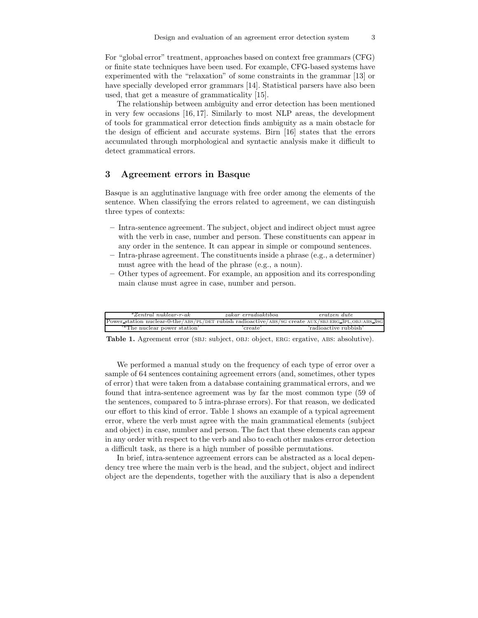For "global error" treatment, approaches based on context free grammars (CFG) or finite state techniques have been used. For example, CFG-based systems have experimented with the "relaxation" of some constraints in the grammar [13] or have specially developed error grammars [14]. Statistical parsers have also been used, that get a measure of grammaticality [15].

The relationship between ambiguity and error detection has been mentioned in very few occasions [16, 17]. Similarly to most NLP areas, the development of tools for grammatical error detection finds ambiguity as a main obstacle for the design of efficient and accurate systems. Birn [16] states that the errors accumulated through morphological and syntactic analysis make it difficult to detect grammatical errors.

## 3 Agreement errors in Basque

Basque is an agglutinative language with free order among the elements of the sentence. When classifying the errors related to agreement, we can distinguish three types of contexts:

- Intra-sentence agreement. The subject, object and indirect object must agree with the verb in case, number and person. These constituents can appear in any order in the sentence. It can appear in simple or compound sentences.
- Intra-phrase agreement. The constituents inside a phrase (e.g., a determiner) must agree with the head of the phrase (e.g., a noun).
- Other types of agreement. For example, an apposition and its corresponding main clause must agree in case, number and person.

| $*Zentral \ nuklear-r-ak$                                                                           | $zakar$ erradiaktiboa | eratzen dute          |
|-----------------------------------------------------------------------------------------------------|-----------------------|-----------------------|
| Power_station nuclear-0-the/ABS/PL/DET rubish radioactive/ABS/SG create AUX/SBJ:ERG_3PL,OBJ:ABS_3SG |                       |                       |
| <sup>**</sup> The nuclear power station'                                                            | 'create'              | 'radioactive rubbish' |

Table 1. Agreement error (SBJ: subject, OBJ: object, ERG: ergative, ABS: absolutive).

We performed a manual study on the frequency of each type of error over a sample of 64 sentences containing agreement errors (and, sometimes, other types of error) that were taken from a database containing grammatical errors, and we found that intra-sentence agreement was by far the most common type (59 of the sentences, compared to 5 intra-phrase errors). For that reason, we dedicated our effort to this kind of error. Table 1 shows an example of a typical agreement error, where the verb must agree with the main grammatical elements (subject and object) in case, number and person. The fact that these elements can appear in any order with respect to the verb and also to each other makes error detection a difficult task, as there is a high number of possible permutations.

In brief, intra-sentence agreement errors can be abstracted as a local dependency tree where the main verb is the head, and the subject, object and indirect object are the dependents, together with the auxiliary that is also a dependent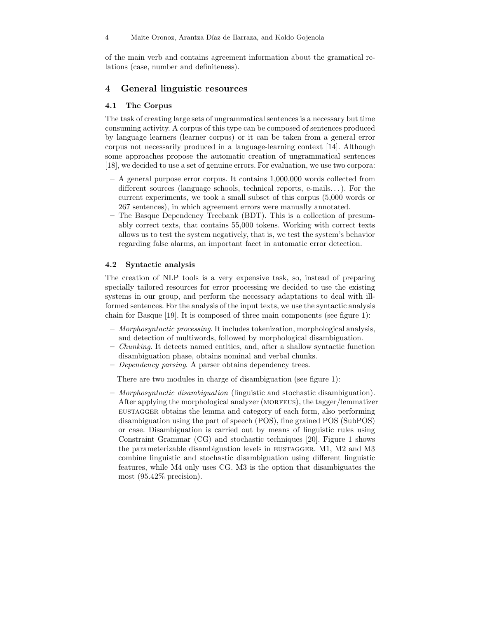of the main verb and contains agreement information about the gramatical relations (case, number and definiteness).

# 4 General linguistic resources

## 4.1 The Corpus

The task of creating large sets of ungrammatical sentences is a necessary but time consuming activity. A corpus of this type can be composed of sentences produced by language learners (learner corpus) or it can be taken from a general error corpus not necessarily produced in a language-learning context [14]. Although some approaches propose the automatic creation of ungrammatical sentences [18], we decided to use a set of genuine errors. For evaluation, we use two corpora:

- A general purpose error corpus. It contains 1,000,000 words collected from different sources (language schools, technical reports, e-mails...). For the current experiments, we took a small subset of this corpus (5,000 words or 267 sentences), in which agreement errors were manually annotated.
- The Basque Dependency Treebank (BDT). This is a collection of presumably correct texts, that contains 55,000 tokens. Working with correct texts allows us to test the system negatively, that is, we test the system's behavior regarding false alarms, an important facet in automatic error detection.

## 4.2 Syntactic analysis

The creation of NLP tools is a very expensive task, so, instead of preparing specially tailored resources for error processing we decided to use the existing systems in our group, and perform the necessary adaptations to deal with illformed sentences. For the analysis of the input texts, we use the syntactic analysis chain for Basque [19]. It is composed of three main components (see figure 1):

- Morphosyntactic processing. It includes tokenization, morphological analysis, and detection of multiwords, followed by morphological disambiguation.
- Chunking. It detects named entities, and, after a shallow syntactic function disambiguation phase, obtains nominal and verbal chunks.
- Dependency parsing. A parser obtains dependency trees.

There are two modules in charge of disambiguation (see figure 1):

– Morphosyntactic disambiguation (linguistic and stochastic disambiguation). After applying the morphological analyzer (MORFEUS), the tagger/lemmatizer eustagger obtains the lemma and category of each form, also performing disambiguation using the part of speech (POS), fine grained POS (SubPOS) or case. Disambiguation is carried out by means of linguistic rules using Constraint Grammar (CG) and stochastic techniques [20]. Figure 1 shows the parameterizable disambiguation levels in eustagger. M1, M2 and M3 combine linguistic and stochastic disambiguation using different linguistic features, while M4 only uses CG. M3 is the option that disambiguates the most (95.42% precision).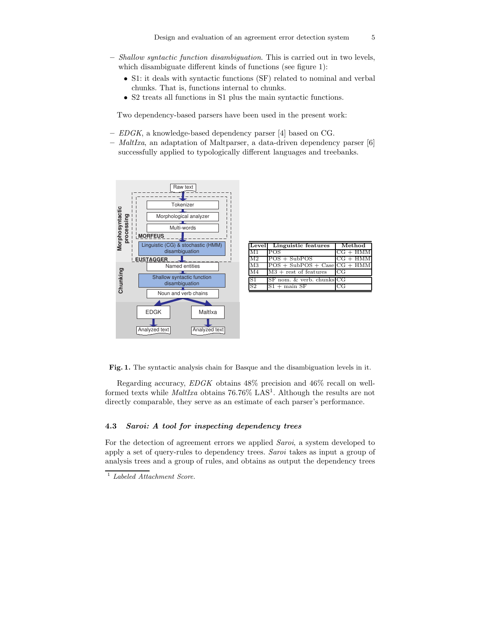- $-$  Shallow syntactic function disambiguation. This is carried out in two levels, which disambiguate different kinds of functions (see figure 1):
	- S1: it deals with syntactic functions (SF) related to nominal and verbal chunks. That is, functions internal to chunks.
	- S2 treats all functions in S1 plus the main syntactic functions.

Two dependency-based parsers have been used in the present work:

- EDGK, a knowledge-based dependency parser [4] based on CG.
- $-$  *MaltIxa*, an adaptation of Maltparser, a data-driven dependency parser [6] successfully applied to typologically different languages and treebanks.



|                          | Level Linguistic features        | Method     |
|--------------------------|----------------------------------|------------|
| M1                       | <b>POS</b>                       | $CG + HMM$ |
| M <sub>2</sub>           | $POS + SubPOS$                   | $CG + HMM$ |
| $\overline{\mathrm{M3}}$ | $POS + SubPOS + Case   CG + HMM$ |            |
| $\overline{\text{M4}}$   | $M3 + rest$ of features          | CG         |
| S1                       | SF nom. & verb. chunks CG        |            |
| S <sub>2</sub>           | $S1 + \text{main SF}$            | CG         |

Fig. 1. The syntactic analysis chain for Basque and the disambiguation levels in it.

Regarding accuracy, EDGK obtains 48% precision and 46% recall on wellformed texts while  $Maltxa$  obtains 76.76% LAS<sup>1</sup>. Although the results are not directly comparable, they serve as an estimate of each parser's performance.

#### 4.3 Saroi: A tool for inspecting dependency trees

For the detection of agreement errors we applied Saroi, a system developed to apply a set of query-rules to dependency trees. Saroi takes as input a group of analysis trees and a group of rules, and obtains as output the dependency trees

<sup>&</sup>lt;sup>1</sup> Labeled Attachment Score.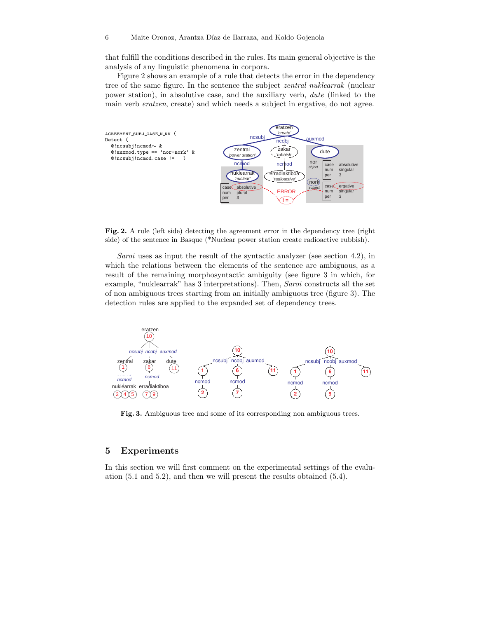that fulfill the conditions described in the rules. Its main general objective is the analysis of any linguistic phenomena in corpora.

Figure 2 shows an example of a rule that detects the error in the dependency tree of the same figure. In the sentence the subject *zentral nuklearrak* (nuclear power station), in absolutive case, and the auxiliary verb, dute (linked to the main verb eratzen, create) and which needs a subject in ergative, do not agree.



Fig. 2. A rule (left side) detecting the agreement error in the dependency tree (right side) of the sentence in Basque (\*Nuclear power station create radioactive rubbish).

Saroi uses as input the result of the syntactic analyzer (see section 4.2), in which the relations between the elements of the sentence are ambiguous, as a result of the remaining morphosyntactic ambiguity (see figure 3 in which, for example, "nuklearrak" has 3 interpretations). Then, Saroi constructs all the set of non ambiguous trees starting from an initially ambiguous tree (figure 3). The detection rules are applied to the expanded set of dependency trees.



Fig. 3. Ambiguous tree and some of its corresponding non ambiguous trees.

## 5 Experiments

In this section we will first comment on the experimental settings of the evaluation (5.1 and 5.2), and then we will present the results obtained (5.4).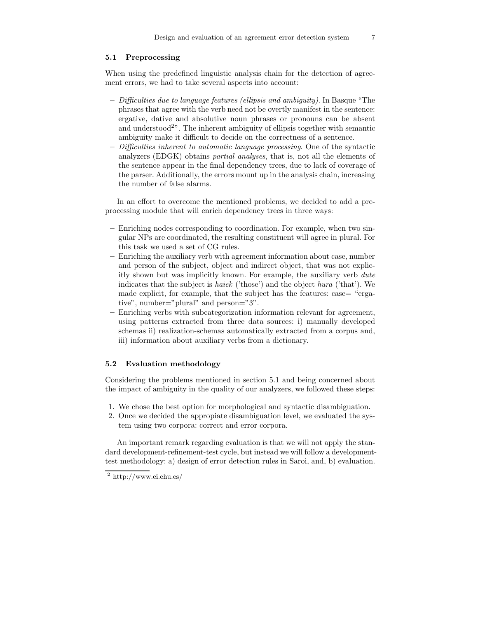## 5.1 Preprocessing

When using the predefined linguistic analysis chain for the detection of agreement errors, we had to take several aspects into account:

- Difficulties due to language features (ellipsis and ambiguity). In Basque "The phrases that agree with the verb need not be overtly manifest in the sentence: ergative, dative and absolutive noun phrases or pronouns can be absent and understood<sup>2"</sup>. The inherent ambiguity of ellipsis together with semantic ambiguity make it difficult to decide on the correctness of a sentence.
- $-$  Difficulties inherent to automatic language processing. One of the syntactic analyzers (EDGK) obtains partial analyses, that is, not all the elements of the sentence appear in the final dependency trees, due to lack of coverage of the parser. Additionally, the errors mount up in the analysis chain, increasing the number of false alarms.

In an effort to overcome the mentioned problems, we decided to add a preprocessing module that will enrich dependency trees in three ways:

- Enriching nodes corresponding to coordination. For example, when two singular NPs are coordinated, the resulting constituent will agree in plural. For this task we used a set of CG rules.
- Enriching the auxiliary verb with agreement information about case, number and person of the subject, object and indirect object, that was not explicitly shown but was implicitly known. For example, the auxiliary verb dute indicates that the subject is *haiek* ('those') and the object *hura* ('that'). We made explicit, for example, that the subject has the features: case= "ergative", number="plural" and person="3".
- Enriching verbs with subcategorization information relevant for agreement, using patterns extracted from three data sources: i) manually developed schemas ii) realization-schemas automatically extracted from a corpus and, iii) information about auxiliary verbs from a dictionary.

## 5.2 Evaluation methodology

Considering the problems mentioned in section 5.1 and being concerned about the impact of ambiguity in the quality of our analyzers, we followed these steps:

- 1. We chose the best option for morphological and syntactic disambiguation.
- 2. Once we decided the appropiate disambiguation level, we evaluated the system using two corpora: correct and error corpora.

An important remark regarding evaluation is that we will not apply the standard development-refinement-test cycle, but instead we will follow a developmenttest methodology: a) design of error detection rules in Saroi, and, b) evaluation.

<sup>2</sup> http://www.ei.ehu.es/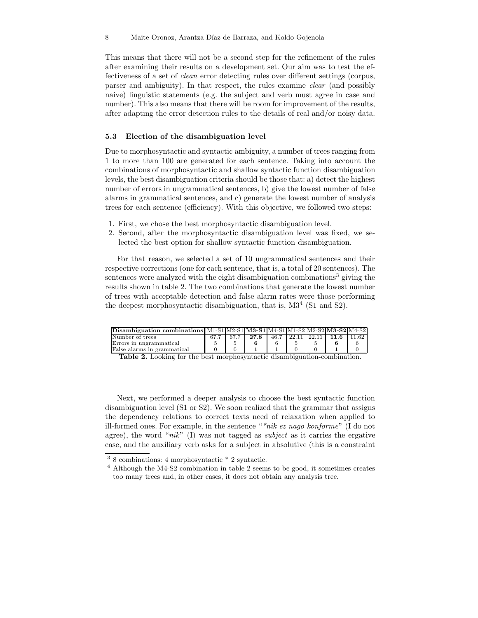This means that there will not be a second step for the refinement of the rules after examining their results on a development set. Our aim was to test the effectiveness of a set of clean error detecting rules over different settings (corpus, parser and ambiguity). In that respect, the rules examine clear (and possibly naive) linguistic statements (e.g. the subject and verb must agree in case and number). This also means that there will be room for improvement of the results, after adapting the error detection rules to the details of real and/or noisy data.

#### 5.3 Election of the disambiguation level

Due to morphosyntactic and syntactic ambiguity, a number of trees ranging from 1 to more than 100 are generated for each sentence. Taking into account the combinations of morphosyntactic and shallow syntactic function disambiguation levels, the best disambiguation criteria should be those that: a) detect the highest number of errors in ungrammatical sentences, b) give the lowest number of false alarms in grammatical sentences, and c) generate the lowest number of analysis trees for each sentence (efficiency). With this objective, we followed two steps:

- 1. First, we chose the best morphosyntactic disambiguation level.
- 2. Second, after the morphosyntactic disambiguation level was fixed, we selected the best option for shallow syntactic function disambiguation.

For that reason, we selected a set of 10 ungrammatical sentences and their respective corrections (one for each sentence, that is, a total of 20 sentences). The sentences were analyzed with the eight disambiguation combinations<sup>3</sup> giving the results shown in table 2. The two combinations that generate the lowest number of trees with acceptable detection and false alarm rates were those performing the deepest morphosyntactic disambiguation, that is,  $M3<sup>4</sup>$  (S1 and S2).

| $\text{Disambiguation combinations} \[ \text{M1-S1} \[ \text{M2-S1} \[ \text{M3-S1} \[ \text{M4-S1} \[ \text{M1-S2} \[ \text{M2-S2} \[ \text{M3-S2} \[ \text{M4-S2} \] \]$ |  |                |  |                               |       |
|----------------------------------------------------------------------------------------------------------------------------------------------------------------------------|--|----------------|--|-------------------------------|-------|
| Number of trees                                                                                                                                                            |  | 67.7 67.7 27.8 |  | $46.7$   22.11   22.11   11.6 | 11.62 |
| Errors in ungrammatical                                                                                                                                                    |  |                |  |                               |       |
| False alarms in grammatical                                                                                                                                                |  |                |  |                               |       |

Table 2. Looking for the best morphosyntactic disambiguation-combination.

Next, we performed a deeper analysis to choose the best syntactic function disambiguation level (S1 or S2). We soon realized that the grammar that assigns the dependency relations to correct texts need of relaxation when applied to ill-formed ones. For example, in the sentence " $*nik$  ez nago konforme" (I do not agree), the word " $nik$ " (I) was not tagged as *subject* as it carries the ergative case, and the auxiliary verb asks for a subject in absolutive (this is a constraint

<sup>3</sup> 8 combinations: 4 morphosyntactic \* 2 syntactic.

<sup>4</sup> Although the M4-S2 combination in table 2 seems to be good, it sometimes creates too many trees and, in other cases, it does not obtain any analysis tree.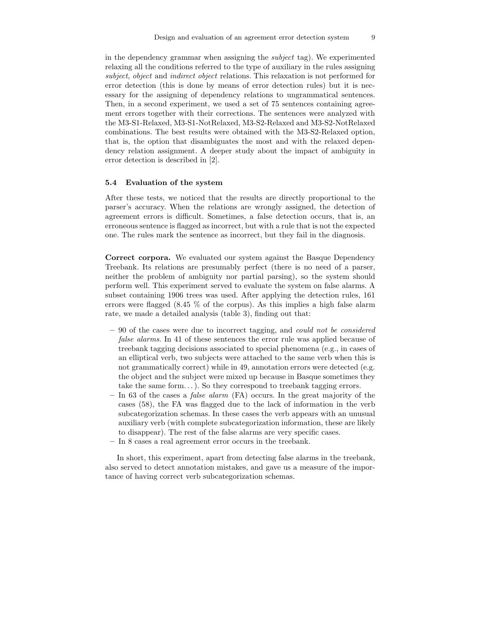in the dependency grammar when assigning the subject tag). We experimented relaxing all the conditions referred to the type of auxiliary in the rules assigning subject, object and *indirect object* relations. This relaxation is not performed for error detection (this is done by means of error detection rules) but it is necessary for the assigning of dependency relations to ungrammatical sentences. Then, in a second experiment, we used a set of 75 sentences containing agreement errors together with their corrections. The sentences were analyzed with the M3-S1-Relaxed, M3-S1-NotRelaxed, M3-S2-Relaxed and M3-S2-NotRelaxed combinations. The best results were obtained with the M3-S2-Relaxed option, that is, the option that disambiguates the most and with the relaxed dependency relation assignment. A deeper study about the impact of ambiguity in error detection is described in [2].

#### 5.4 Evaluation of the system

After these tests, we noticed that the results are directly proportional to the parser's accuracy. When the relations are wrongly assigned, the detection of agreement errors is difficult. Sometimes, a false detection occurs, that is, an erroneous sentence is flagged as incorrect, but with a rule that is not the expected one. The rules mark the sentence as incorrect, but they fail in the diagnosis.

Correct corpora. We evaluated our system against the Basque Dependency Treebank. Its relations are presumably perfect (there is no need of a parser, neither the problem of ambiguity nor partial parsing), so the system should perform well. This experiment served to evaluate the system on false alarms. A subset containing 1906 trees was used. After applying the detection rules, 161 errors were flagged (8.45 % of the corpus). As this implies a high false alarm rate, we made a detailed analysis (table 3), finding out that:

- 90 of the cases were due to incorrect tagging, and could not be considered false alarms. In 41 of these sentences the error rule was applied because of treebank tagging decisions associated to special phenomena (e.g., in cases of an elliptical verb, two subjects were attached to the same verb when this is not grammatically correct) while in 49, annotation errors were detected (e.g. the object and the subject were mixed up because in Basque sometimes they take the same form...). So they correspond to treebank tagging errors.
- In 63 of the cases a *false alarm* (FA) occurs. In the great majority of the cases (58), the FA was flagged due to the lack of information in the verb subcategorization schemas. In these cases the verb appears with an unusual auxiliary verb (with complete subcategorization information, these are likely to disappear). The rest of the false alarms are very specific cases.
- In 8 cases a real agreement error occurs in the treebank.

In short, this experiment, apart from detecting false alarms in the treebank, also served to detect annotation mistakes, and gave us a measure of the importance of having correct verb subcategorization schemas.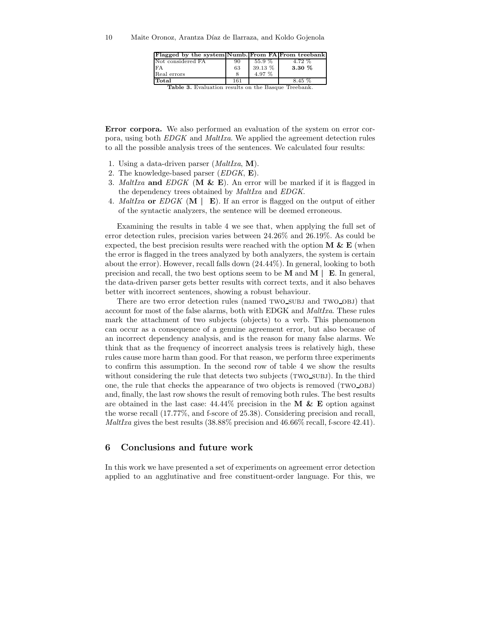| Flagged by the system Numb. From FA From treebank |     |         |          |
|---------------------------------------------------|-----|---------|----------|
| Not considered FA                                 | 90  | 55.9%   | 4.72 %   |
| FA                                                | 63  | 39.13 % | 3.30 %   |
| Real errors                                       |     | 4.97 %  |          |
| Total                                             | 161 |         | $8.45\%$ |

Table 3. Evaluation results on the Basque Treebank.

Error corpora. We also performed an evaluation of the system on error corpora, using both EDGK and MaltIxa. We applied the agreement detection rules to all the possible analysis trees of the sentences. We calculated four results:

- 1. Using a data-driven parser  $(MaltIxa, M)$ .
- 2. The knowledge-based parser  $(EDGK, \mathbf{E})$ .
- 3. MaltIxa and EDGK (M & E). An error will be marked if it is flagged in the dependency trees obtained by MaltIxa and EDGK.
- 4. MaltIxa or EDGK (M | E). If an error is flagged on the output of either of the syntactic analyzers, the sentence will be deemed erroneous.

Examining the results in table 4 we see that, when applying the full set of error detection rules, precision varies between 24.26% and 26.19%. As could be expected, the best precision results were reached with the option  $M \& E$  (when the error is flagged in the trees analyzed by both analyzers, the system is certain about the error). However, recall falls down (24.44%). In general, looking to both precision and recall, the two best options seem to be  $\mathbf{M}$  and  $\mathbf{M} \mid \mathbf{E}$ . In general, the data-driven parser gets better results with correct texts, and it also behaves better with incorrect sentences, showing a robust behaviour.

There are two error detection rules (named TWO\_SUBJ and TWO\_OBJ) that account for most of the false alarms, both with EDGK and MaltIxa. These rules mark the attachment of two subjects (objects) to a verb. This phenomenon can occur as a consequence of a genuine agreement error, but also because of an incorrect dependency analysis, and is the reason for many false alarms. We think that as the frequency of incorrect analysis trees is relatively high, these rules cause more harm than good. For that reason, we perform three experiments to confirm this assumption. In the second row of table 4 we show the results without considering the rule that detects two subjects (TWO\_SUBJ). In the third one, the rule that checks the appearance of two objects is removed (TWO\_OBJ) and, finally, the last row shows the result of removing both rules. The best results are obtained in the last case:  $44.44\%$  precision in the M & E option against the worse recall (17.77%, and f-score of 25.38). Considering precision and recall, *MaltIxa* gives the best results  $(38.88\%$  precision and  $46.66\%$  recall, f-score  $42.41$ ).

# 6 Conclusions and future work

In this work we have presented a set of experiments on agreement error detection applied to an agglutinative and free constituent-order language. For this, we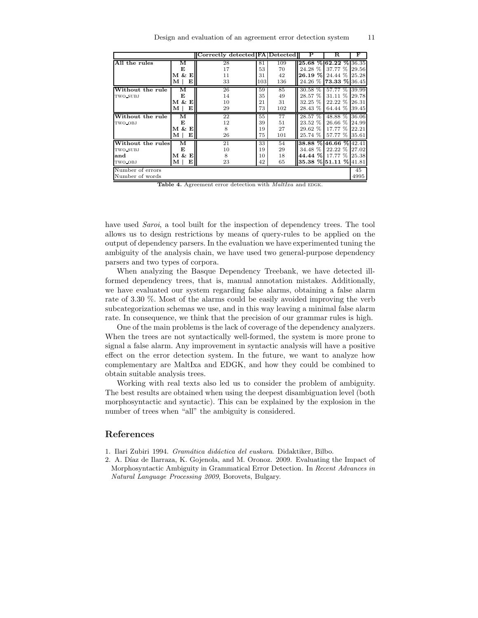|                   |                     | Correctly detected FA Detected |     |     | P          | $_{\rm R}$            | F     |
|-------------------|---------------------|--------------------------------|-----|-----|------------|-----------------------|-------|
| All the rules     | м                   | 28                             | 81  | 109 |            | 25.68 % 62.22 % 36.35 |       |
|                   | Е                   | 17                             | 53  | 70  | 24.28 %    | 37.77 % 29.56         |       |
|                   | M &<br>Е            | 11                             | 31  | 42  | $26.19 \%$ | 24.44 % 25.28         |       |
|                   | Е<br>$\mathbf{M}$   | 33                             | 103 | 136 |            | 24.26 % 73.33 % 36.45 |       |
| Without the rule  | м                   | 26                             | 59  | 85  | $30.58\%$  | 57.77 % 39.99         |       |
| TWO SUBJ          | Е                   | 14                             | 35  | 49  | 28.57%     | 31.11 %               | 29.78 |
|                   | M & E               | 10                             | 21  | 31  | $32.25\%$  | 22.22 %               | 26.31 |
|                   | Е<br>$\mathbf{M}$   | 29                             | 73  | 102 | 28.43 %    | 64.44 %               | 39.45 |
| Without the rule  | м                   | 22                             | 55  | 77  | $28.57\%$  | 48.88 % 36.06         |       |
| TWO_OBJ           | Е                   | 12                             | 39  | 51  | 23.52 %    | 26.66 %               | 24.99 |
|                   | M &<br>Е            | 8                              | 19  | 27  | 29.62 %    | 17.77 % 22.21         |       |
|                   | E<br>M <sub>1</sub> | 26                             | 75  | 101 | 25.74 %    | 57.77 % 35.61         |       |
| Without the rules | м                   | 21                             | 33  | 54  |            | 38.88 % 46.66 % 42.41 |       |
| TWO_SUBJ          | Е                   | 10                             | 19  | 29  | 34.48 %    | 22.22 % 27.02         |       |
| and               | M & E               | 8                              | 10  | 18  |            | 44.44 % 17.77 % 25.38 |       |
| TWO OBJ           | Е<br>$\mathbf{M}$   | 23                             | 42  | 65  |            | 35.38 % 51.11 % 41.81 |       |
| Number of errors  |                     |                                |     |     |            |                       | 45    |
| Number of words   |                     |                                |     |     |            |                       | 4995  |

Table 4. Agreement error detection with MaltIxa and EDGK.

have used *Saroi*, a tool built for the inspection of dependency trees. The tool allows us to design restrictions by means of query-rules to be applied on the output of dependency parsers. In the evaluation we have experimented tuning the ambiguity of the analysis chain, we have used two general-purpose dependency parsers and two types of corpora.

When analyzing the Basque Dependency Treebank, we have detected illformed dependency trees, that is, manual annotation mistakes. Additionally, we have evaluated our system regarding false alarms, obtaining a false alarm rate of 3.30 %. Most of the alarms could be easily avoided improving the verb subcategorization schemas we use, and in this way leaving a minimal false alarm rate. In consequence, we think that the precision of our grammar rules is high.

One of the main problems is the lack of coverage of the dependency analyzers. When the trees are not syntactically well-formed, the system is more prone to signal a false alarm. Any improvement in syntactic analysis will have a positive effect on the error detection system. In the future, we want to analyze how complementary are MaltIxa and EDGK, and how they could be combined to obtain suitable analysis trees.

Working with real texts also led us to consider the problem of ambiguity. The best results are obtained when using the deepest disambiguation level (both morphosyntactic and syntactic). This can be explained by the explosion in the number of trees when "all" the ambiguity is considered.

## References

- 1. Ilari Zubiri 1994. Gramática didáctica del euskara. Didaktiker, Bilbo.
- 2. A. Díaz de Ilarraza, K. Gojenola, and M. Oronoz. 2009. Evaluating the Impact of Morphosyntactic Ambiguity in Grammatical Error Detection. In Recent Advances in Natural Language Processing 2009, Borovets, Bulgary.